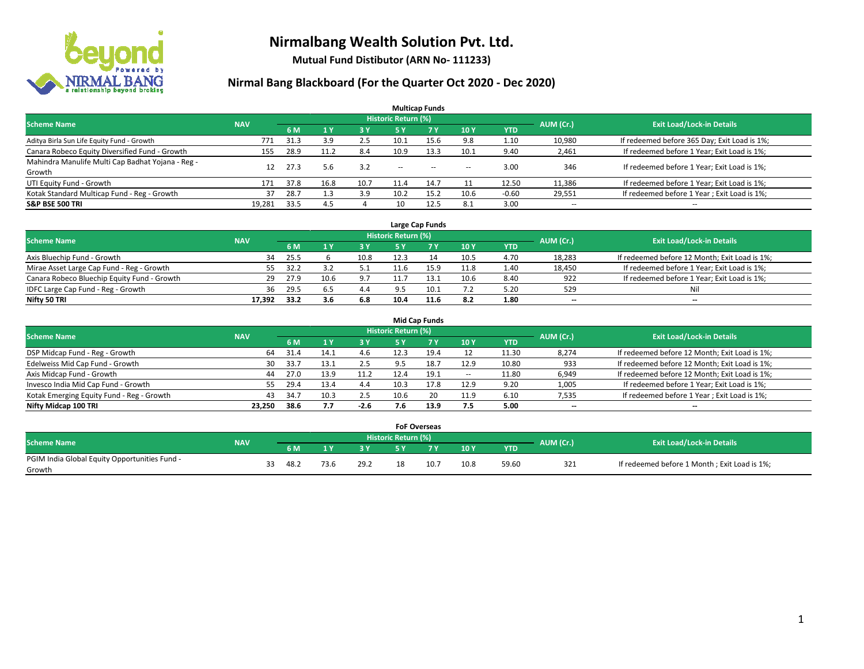

**Mutual Fund Distibutor (ARN No- 111233)**

| <b>Multicap Funds</b>                             |            |                                  |                |      |                          |       |                          |            |                          |                                              |  |  |  |  |
|---------------------------------------------------|------------|----------------------------------|----------------|------|--------------------------|-------|--------------------------|------------|--------------------------|----------------------------------------------|--|--|--|--|
| <b>Scheme Name</b>                                | AUM (Cr.)  | <b>Exit Load/Lock-in Details</b> |                |      |                          |       |                          |            |                          |                                              |  |  |  |  |
|                                                   | <b>NAV</b> | 6 M                              | 1 <sub>Y</sub> | 3 Y  | 5 Y                      | 7 Y   | 10Y                      | <b>YTD</b> |                          |                                              |  |  |  |  |
| Aditya Birla Sun Life Equity Fund - Growth        | 771        | 31.3                             | 3.9            | 2.5  | 10.1                     | 15.6  | 9.8                      | 1.10       | 10,980                   | If redeemed before 365 Day; Exit Load is 1%; |  |  |  |  |
| Canara Robeco Equity Diversified Fund - Growth    | 155        | 28.9                             | 11.2           | 8.4  | 10.9                     | 13.3  | 10.1                     | 9.40       | 2,461                    | If redeemed before 1 Year; Exit Load is 1%;  |  |  |  |  |
| Mahindra Manulife Multi Cap Badhat Yojana - Reg - | 12         | 27.3                             | 5.6            | 3.2  | $\overline{\phantom{a}}$ |       |                          | 3.00       | 346                      | If redeemed before 1 Year; Exit Load is 1%;  |  |  |  |  |
| Growth                                            |            |                                  |                |      |                          | $- -$ | $\overline{\phantom{a}}$ |            |                          |                                              |  |  |  |  |
| UTI Equity Fund - Growth                          | 171        | 37.8                             | 16.8           | 10.7 | 11.4                     | 14.7  |                          | 12.50      | 11,386                   | If redeemed before 1 Year; Exit Load is 1%;  |  |  |  |  |
| Kotak Standard Multicap Fund - Reg - Growth       | 37         | 28.7                             |                | 3.9  | 10.2                     | 15.2  | 10.6                     | $-0.60$    | 29,551                   | If redeemed before 1 Year; Exit Load is 1%;  |  |  |  |  |
| <b>S&amp;P BSE 500 TRI</b>                        | 19.281     | 33.5                             | 4.5            |      | 10                       | 12.5  | 8.1                      | 3.00       | $\overline{\phantom{a}}$ | $- -$                                        |  |  |  |  |

|                                             |            |       |      |      |                            | Large Cap Funds |      |            |           |                                               |
|---------------------------------------------|------------|-------|------|------|----------------------------|-----------------|------|------------|-----------|-----------------------------------------------|
| <b>Scheme Name</b>                          | <b>NAV</b> |       |      |      | <b>Historic Return (%)</b> |                 |      |            | AUM (Cr.) | <b>Exit Load/Lock-in Details</b>              |
|                                             |            | 6 M   |      | 3Y   |                            | 7 Y             | 10Y  | <b>YTD</b> |           |                                               |
| Axis Bluechip Fund - Growth                 | 34         | 25.5  |      | 10.8 | 12.3                       | 14              | 10.5 | 4.70       | 18,283    | If redeemed before 12 Month; Exit Load is 1%; |
| Mirae Asset Large Cap Fund - Reg - Growth   | 55.        | -32.2 |      |      |                            |                 | 11.8 | 1.40       | 18,450    | If redeemed before 1 Year; Exit Load is 1%;   |
| Canara Robeco Bluechip Equity Fund - Growth | 29         | 27.9  | 10.6 | 9.7  |                            |                 | 10.6 | 8.40       | 922       | If redeemed before 1 Year; Exit Load is 1%;   |
| IDFC Large Cap Fund - Reg - Growth          | 36         | 29.5  | 6.5  | 4.4  |                            |                 | 7.2  | 5.20       | 529       | Nil                                           |
| Nifty 50 TRI                                | 17.392     | 33.2  | 3.6  | 6.8  | 10.4                       |                 | 8.2  | 1.80       | $-$       | $-$                                           |

| <b>Mid Cap Funds</b>                      |            |           |                                  |           |      |      |                          |            |       |                                               |  |  |  |  |
|-------------------------------------------|------------|-----------|----------------------------------|-----------|------|------|--------------------------|------------|-------|-----------------------------------------------|--|--|--|--|
| <b>Scheme Name</b>                        | <b>NAV</b> | AUM (Cr.) | <b>Exit Load/Lock-in Details</b> |           |      |      |                          |            |       |                                               |  |  |  |  |
|                                           |            | 6 M       |                                  | <b>3Y</b> | 5 Y  |      | 10Y                      | <b>YTD</b> |       |                                               |  |  |  |  |
| DSP Midcap Fund - Reg - Growth            | 64         | 31.4      | 14.1                             | 4.6       | 12.3 | 19.4 | 12                       | 11.30      | 8,274 | If redeemed before 12 Month; Exit Load is 1%; |  |  |  |  |
| Edelweiss Mid Cap Fund - Growth           | 30         | 33.7      | 13.1                             | 2.5       | 9.5  | 18.7 | 12.9                     | 10.80      | 933   | If redeemed before 12 Month; Exit Load is 1%; |  |  |  |  |
| Axis Midcap Fund - Growth                 | 44         | 27.0      | 13.9                             | 11.2      | 12.4 | 19.1 | $\overline{\phantom{a}}$ | 11.80      | 6,949 | If redeemed before 12 Month; Exit Load is 1%; |  |  |  |  |
| Invesco India Mid Cap Fund - Growth       | 55         | 29.4      | 13.4                             | 4.4       | 10.3 | 17.8 | 12.9                     | 9.20       | 1,005 | If redeemed before 1 Year; Exit Load is 1%;   |  |  |  |  |
| Kotak Emerging Equity Fund - Reg - Growth | 43         | 34.7      | 10.3                             | 2.5       | 10.6 | 20   | 11.9                     | 6.10       | 7,535 | If redeemed before 1 Year; Exit Load is 1%;   |  |  |  |  |
| Nifty Midcap 100 TRI                      | 23.250     | 38.6      | 7.7                              | $-2.6$    | 7.6  | 13.9 | 7.5                      | 5.00       | --    | $\overline{\phantom{a}}$                      |  |  |  |  |

|                                                         |            |      |      |      | <b>FoF Overseas</b> |     |      |            |           |                                              |
|---------------------------------------------------------|------------|------|------|------|---------------------|-----|------|------------|-----------|----------------------------------------------|
| Scheme Name                                             | <b>NAV</b> |      |      |      | Historic Return (%) |     |      |            | AUM (Cr.) | <b>Exit Load/Lock-in Details</b>             |
|                                                         |            | 6 M  |      | י כ  |                     |     | 10Y  | <b>YTD</b> |           |                                              |
| PGIM India Global Equity Opportunities Fund -<br>Growth |            | 48.2 | 73.6 | 29.2 |                     | 10. | 10.8 | 59.60      | 321       | If redeemed before 1 Month; Exit Load is 1%; |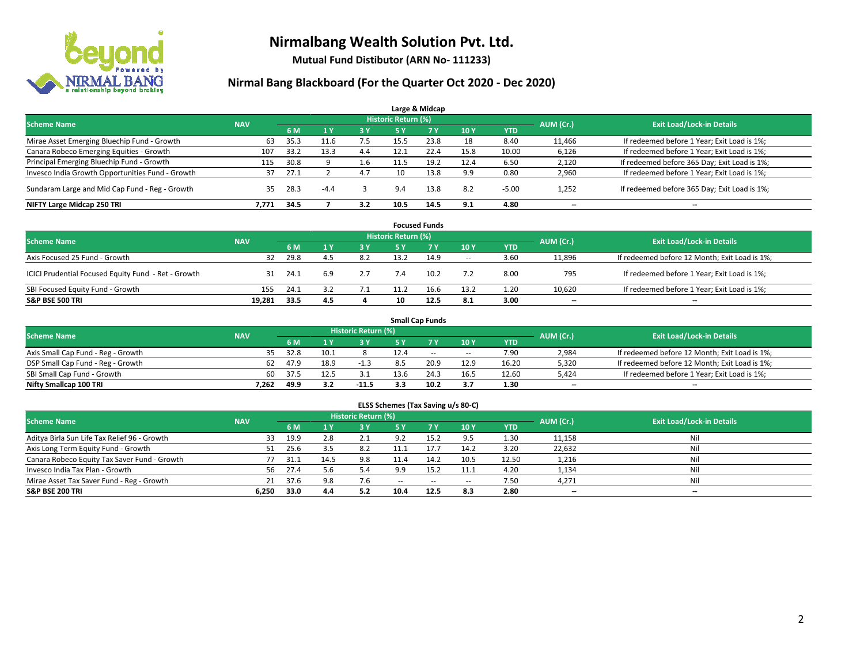

**Mutual Fund Distibutor (ARN No- 111233)**

|                                                  |            |      |                |     |                            | Large & Midcap |                 |            |           |                                              |
|--------------------------------------------------|------------|------|----------------|-----|----------------------------|----------------|-----------------|------------|-----------|----------------------------------------------|
| <b>Scheme Name</b>                               | <b>NAV</b> |      |                |     | <b>Historic Return (%)</b> |                |                 |            | AUM (Cr.) | <b>Exit Load/Lock-in Details</b>             |
|                                                  |            | 6 M  | 1 <sup>Y</sup> | 3 Y | 5 Y                        | 7Y             | 10 <sub>Y</sub> | <b>YTD</b> |           |                                              |
| Mirae Asset Emerging Bluechip Fund - Growth      | 63         | 35.3 | 11.6           | 7.5 | 15.5                       | 23.8           | 18              | 8.40       | 11,466    | If redeemed before 1 Year; Exit Load is 1%;  |
| Canara Robeco Emerging Equities - Growth         | 107        | 33.2 | 13.3           | 4.4 | 12.1                       | 22.4           | 15.8            | 10.00      | 6,126     | If redeemed before 1 Year; Exit Load is 1%;  |
| Principal Emerging Bluechip Fund - Growth        | 115        | 30.8 |                | 1.6 | 11.5                       | 19.2           | 12.4            | 6.50       | 2,120     | If redeemed before 365 Day; Exit Load is 1%; |
| Invesco India Growth Opportunities Fund - Growth | 37         | 27.1 |                | 4.7 | 10                         | 13.8           | 9.9             | 0.80       | 2,960     | If redeemed before 1 Year; Exit Load is 1%;  |
| Sundaram Large and Mid Cap Fund - Reg - Growth   | 35         | 28.3 | $-4.4$         |     | 9.4                        | 13.8           | 8.2             | $-5.00$    | 1,252     | If redeemed before 365 Day; Exit Load is 1%; |
| NIFTY Large Midcap 250 TRI                       | 7.771      | 34.5 |                | 3.2 | 10.5                       | 14.5           | 9.1             | 4.80       | $- -$     | $\overline{\phantom{a}}$                     |

|                                                     |            |      |     |           |                     | <b>Focused Funds</b> |        |      |           |                                               |
|-----------------------------------------------------|------------|------|-----|-----------|---------------------|----------------------|--------|------|-----------|-----------------------------------------------|
| <b>Scheme Name</b>                                  | <b>NAV</b> |      |     |           | Historic Return (%) |                      |        |      | AUM (Cr.) | <b>Exit Load/Lock-in Details</b>              |
|                                                     |            | 6 M  |     | <b>3Y</b> | 5 Y                 | <b>7Y</b>            | 10Y    | YTD  |           |                                               |
| Axis Focused 25 Fund - Growth                       | 32         | 29.8 | 4.5 | 8.2       | 13.2                | 14.9                 | $\sim$ | 3.60 | 11,896    | If redeemed before 12 Month; Exit Load is 1%; |
| ICICI Prudential Focused Equity Fund - Ret - Growth | 31         | 24.1 | 6.9 | 2.7       |                     | 10.2                 | 7.2    | 8.00 | 795       | If redeemed before 1 Year; Exit Load is 1%;   |
| SBI Focused Equity Fund - Growth                    | 155        | 24.1 |     | 7. L      |                     | 16.6                 | 13.2   | 1.20 | 10,620    | If redeemed before 1 Year; Exit Load is 1%;   |
| <b>S&amp;P BSE 500 TRI</b>                          | 19.281     | 33.5 | 4.5 |           |                     | 12.5                 | 8.1    | 3.00 | $- -$     | $\overline{\phantom{a}}$                      |

|                                    |            |       |      |                     |      | <b>Small Cap Funds</b> |                          |            |           |                                               |
|------------------------------------|------------|-------|------|---------------------|------|------------------------|--------------------------|------------|-----------|-----------------------------------------------|
| <b>Scheme Name</b>                 | <b>NAV</b> |       |      | Historic Return (%) |      |                        |                          |            |           | <b>Exit Load/Lock-in Details</b>              |
|                                    |            | 6 M   |      | 3 Y                 | 5 Y  |                        | 10Y                      | <b>YTD</b> | AUM (Cr.) |                                               |
| Axis Small Cap Fund - Reg - Growth | 35         | 32.8  | 10.1 |                     | 12.4 | $-$                    | $\hspace{0.05cm} \cdots$ | 7.90       | 2,984     | If redeemed before 12 Month; Exit Load is 1%; |
| DSP Small Cap Fund - Reg - Growth  | 62         | 47.9  | 18.9 |                     |      | 20.9                   | 12.9                     | 16.20      | 5,320     | If redeemed before 12 Month; Exit Load is 1%; |
| SBI Small Cap Fund - Growth        | 60         | -37.5 |      |                     | 13.6 | 24.3                   | 16.5                     | 12.60      | 5,424     | If redeemed before 1 Year; Exit Load is 1%;   |
| Nifty Smallcap 100 TRI             | 7.262      | 49.9  | 3.2  | $-11.5$             |      | 10.2                   | 3.7                      | 1.30       | $- -$     | $\overline{\phantom{a}}$                      |

| ELSS Schemes (Tax Saving u/s 80-C)           |            |      |                |                            |               |             |                          |            |           |                                  |  |  |  |
|----------------------------------------------|------------|------|----------------|----------------------------|---------------|-------------|--------------------------|------------|-----------|----------------------------------|--|--|--|
| <b>Scheme Name</b>                           | <b>NAV</b> |      |                | <b>Historic Return (%)</b> |               |             |                          |            | AUM (Cr.) | <b>Exit Load/Lock-in Details</b> |  |  |  |
|                                              |            | 6 M  | 1 <sup>1</sup> | 3 Y                        | <b>5Y</b>     | <b>77 Y</b> | <b>10Y</b>               | <b>YTD</b> |           |                                  |  |  |  |
| Aditya Birla Sun Life Tax Relief 96 - Growth | 33         | 19.9 | 2.8            | 2.1                        | 9.2           | 15.2        | 9.5                      | 1.30       | 11,158    | Nil                              |  |  |  |
| Axis Long Term Equity Fund - Growth          | 51         | 25.6 | 3.5            | 8.2                        | 11.1          | 17.7        | 14.2                     | 3.20       | 22,632    | Nil                              |  |  |  |
| Canara Robeco Equity Tax Saver Fund - Growth |            | 31.1 | 14.5           | 9.8                        | 11.4          | 14.2        | 10.5                     | 12.50      | 1,216     | Nil                              |  |  |  |
| Invesco India Tax Plan - Growth              | 56         | 27.4 | 5.6            | 5.4                        | 9.9           | 15.2        | 11.1                     | 4.20       | 1,134     | Nil                              |  |  |  |
| Mirae Asset Tax Saver Fund - Reg - Growth    | 21         | 37.6 | 9.8            | 7.6                        | $\sim$ $\sim$ | $\sim$      | $\overline{\phantom{a}}$ | 7.50       | 4,271     | Nil                              |  |  |  |
| S&P BSE 200 TRI                              | 6.250      | 33.0 | 4.4            | 5.2                        | 10.4          | 12.5        | 8.3                      | 2.80       | $- -$     | $\overline{\phantom{a}}$         |  |  |  |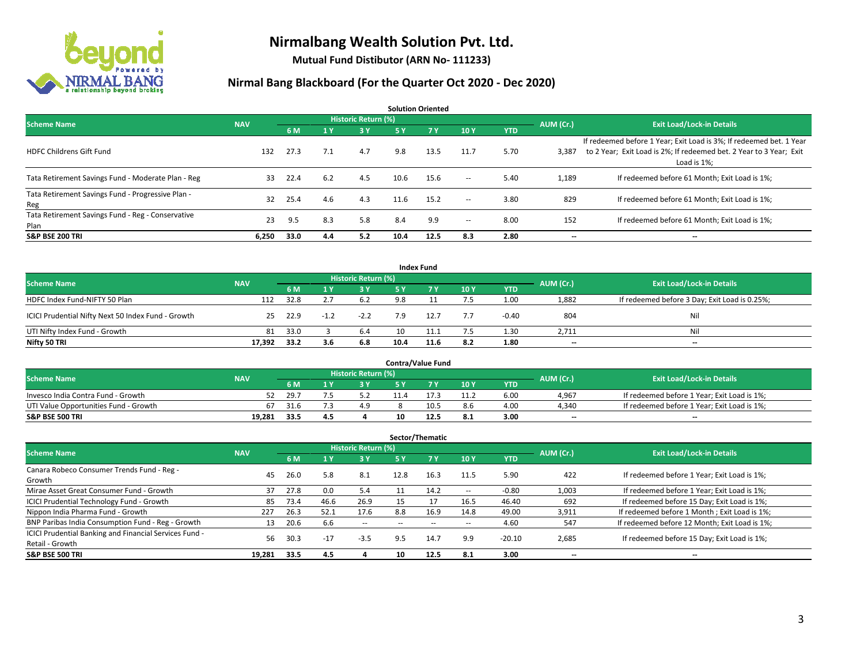

**Mutual Fund Distibutor (ARN No- 111233)**

| <b>Solution Oriented</b>                                  |            |      |     |                            |      |            |                          |            |           |                                                                                                                                                           |  |  |  |
|-----------------------------------------------------------|------------|------|-----|----------------------------|------|------------|--------------------------|------------|-----------|-----------------------------------------------------------------------------------------------------------------------------------------------------------|--|--|--|
| <b>Scheme Name</b>                                        | <b>NAV</b> |      |     | <b>Historic Return (%)</b> |      |            |                          |            | AUM (Cr.) | <b>Exit Load/Lock-in Details</b>                                                                                                                          |  |  |  |
|                                                           |            | 6 M  | 1 Y | 3 Y                        | 5 Y  | <b>7 Y</b> | 10Y                      | <b>YTD</b> |           |                                                                                                                                                           |  |  |  |
| <b>HDFC Childrens Gift Fund</b>                           | 132        | 27.3 | 7.1 | 4.7                        | 9.8  | 13.5       | 11.7                     | 5.70       | 3,387     | If redeemed before 1 Year; Exit Load is 3%; If redeemed bet. 1 Year<br>to 2 Year; Exit Load is 2%; If redeemed bet. 2 Year to 3 Year; Exit<br>Load is 1%: |  |  |  |
| Tata Retirement Savings Fund - Moderate Plan - Reg        | 33         | 22.4 | 6.2 | 4.5                        | 10.6 | 15.6       | $\overline{\phantom{a}}$ | 5.40       | 1,189     | If redeemed before 61 Month; Exit Load is 1%;                                                                                                             |  |  |  |
| Tata Retirement Savings Fund - Progressive Plan -<br>Reg  | 32         | 25.4 | 4.6 | 4.3                        | 11.6 | 15.2       | $\sim$ $\sim$            | 3.80       | 829       | If redeemed before 61 Month; Exit Load is 1%;                                                                                                             |  |  |  |
| Tata Retirement Savings Fund - Reg - Conservative<br>Plan | 23         | 9.5  | 8.3 | 5.8                        | 8.4  | 9.9        | $\!-$                    | 8.00       | 152       | If redeemed before 61 Month; Exit Load is 1%;                                                                                                             |  |  |  |
| <b>S&amp;P BSE 200 TRI</b>                                | 6.250      | 33.0 | 4.4 | 5.2                        | 10.4 | 12.5       | 8.3                      | 2.80       | --        | --                                                                                                                                                        |  |  |  |

|                                                    |            |                                  |        |        |      | <b>Index Fund</b> |     |            |       |                                               |
|----------------------------------------------------|------------|----------------------------------|--------|--------|------|-------------------|-----|------------|-------|-----------------------------------------------|
| <b>Scheme Name</b>                                 | AUM (Cr.)  | <b>Exit Load/Lock-in Details</b> |        |        |      |                   |     |            |       |                                               |
|                                                    | <b>NAV</b> | 6 M                              |        | $-3V$  | 5 Y  | <b>7Y</b>         | 10Y | <b>YTD</b> |       |                                               |
| HDFC Index Fund-NIFTY 50 Plan                      | 112        | 32.8                             |        | 6.2    | 9.8  |                   | 7.5 | 1.00       | 1,882 | If redeemed before 3 Day; Exit Load is 0.25%; |
| ICICI Prudential Nifty Next 50 Index Fund - Growth | 25         | 22.9                             | $-1.2$ | $-2.2$ | 7.9  | 12.7              | 7.7 | $-0.40$    | 804   | Nil                                           |
| UTI Nifty Index Fund - Growth                      | 81         | 33.0                             |        | 6.4    |      | 11.1              | 7.5 | 1.30       | 2,711 | Nil                                           |
| Nifty 50 TRI                                       | 17,392     | 33.2                             | 3.6    | 6.8    | 10.4 | 11.6              | 8.2 | 1.80       | $- -$ | $\overline{\phantom{a}}$                      |

|                                       |            |           |                                  |     | <b>Contra/Value Fund</b> |      |      |       |                                             |
|---------------------------------------|------------|-----------|----------------------------------|-----|--------------------------|------|------|-------|---------------------------------------------|
| <b>Scheme Name</b>                    | <b>NAV</b> | AUM (Cr.) | <b>Exit Load/Lock-in Details</b> |     |                          |      |      |       |                                             |
|                                       |            | 6 M       |                                  | 3 Y |                          | 10Y  | YTD  |       |                                             |
| Invesco India Contra Fund - Growth    | 52         | -29.7     |                                  |     |                          | 11.2 | 6.00 | 4,967 | If redeemed before 1 Year; Exit Load is 1%; |
| UTI Value Opportunities Fund - Growth | 67         | 31.6      |                                  | 4.9 | 10.5                     | 8.6  | 4.00 | 4,340 | If redeemed before 1 Year; Exit Load is 1%; |
| <b>S&amp;P BSE 500 TRI</b>            | 19.281     | 33.5      | 4.5                              |     | 12.5                     | 8.1  | 3.00 | $- -$ | $\overline{\phantom{a}}$                    |

|                                                                           |            |      |                         |                            |      | Sector/Thematic |      |            |           |                                               |
|---------------------------------------------------------------------------|------------|------|-------------------------|----------------------------|------|-----------------|------|------------|-----------|-----------------------------------------------|
| <b>Scheme Name</b>                                                        | <b>NAV</b> |      |                         | <b>Historic Return (%)</b> |      |                 |      |            | AUM (Cr.) | <b>Exit Load/Lock-in Details</b>              |
|                                                                           |            | 6 M  | $\mathbf{1} \mathbf{y}$ | <b>3Y</b>                  | 5 Y  | 7Y              | 10Y  | <b>YTD</b> |           |                                               |
| Canara Robeco Consumer Trends Fund - Reg -<br>Growth                      | 45         | 26.0 | 5.8                     | 8.1                        | 12.8 | 16.3            | 11.5 | 5.90       | 422       | If redeemed before 1 Year; Exit Load is 1%;   |
| Mirae Asset Great Consumer Fund - Growth                                  | 37         | 27.8 | 0.0                     | 5.4                        |      | 14.2            | --   | $-0.80$    | 1,003     | If redeemed before 1 Year; Exit Load is 1%;   |
| ICICI Prudential Technology Fund - Growth                                 | 85         | 73.4 | 46.6                    | 26.9                       |      | 17              | 16.5 | 46.40      | 692       | If redeemed before 15 Day; Exit Load is 1%;   |
| Nippon India Pharma Fund - Growth                                         | 227        | 26.3 | 52.1                    | 17.6                       | 8.8  | 16.9            | 14.8 | 49.00      | 3,911     | If redeemed before 1 Month; Exit Load is 1%;  |
| BNP Paribas India Consumption Fund - Reg - Growth                         | 13         | 20.6 | 6.6                     | $-$                        | --   | --              | --   | 4.60       | 547       | If redeemed before 12 Month; Exit Load is 1%; |
| ICICI Prudential Banking and Financial Services Fund -<br>Retail - Growth | 56         | 30.3 | $-17$                   | $-3.5$                     | 9.5  | 14.7            | 9.9  | $-20.10$   | 2,685     | If redeemed before 15 Day; Exit Load is 1%;   |
| <b>S&amp;P BSE 500 TRI</b>                                                | 19,281     | 33.5 | 4.5                     |                            | 10   | 12.5            | 8.1  | 3.00       | --        | --                                            |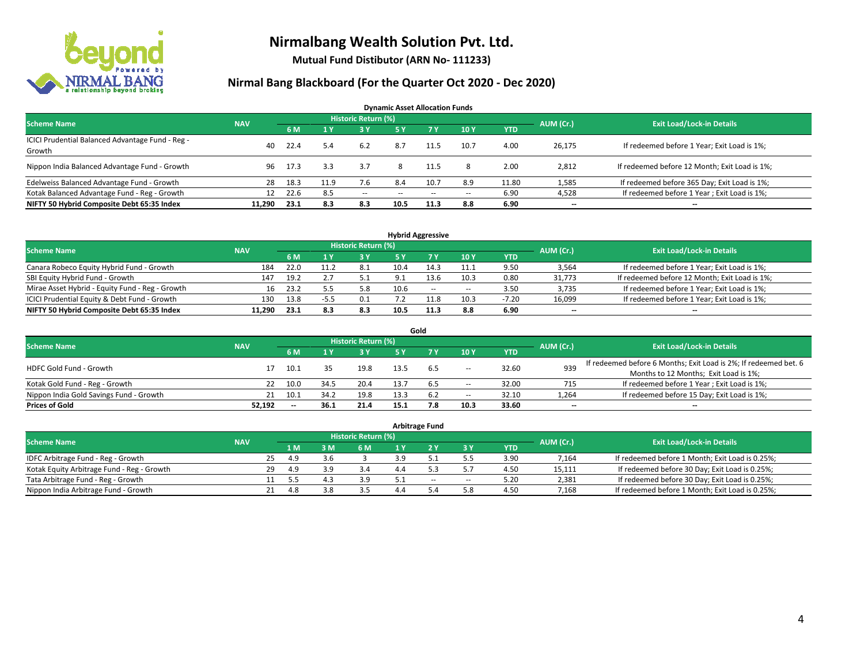

**Mutual Fund Distibutor (ARN No- 111233)**

| <b>Dynamic Asset Allocation Funds</b>                      |            |      |      |                            |           |                          |        |            |           |                                               |  |  |  |
|------------------------------------------------------------|------------|------|------|----------------------------|-----------|--------------------------|--------|------------|-----------|-----------------------------------------------|--|--|--|
| <b>Scheme Name</b>                                         | <b>NAV</b> |      |      | <b>Historic Return (%)</b> |           |                          |        |            | AUM (Cr.) | <b>Exit Load/Lock-in Details</b>              |  |  |  |
|                                                            |            | 6 M  |      | 73 Y.                      | <b>5Y</b> | <b>7Y</b>                | 10Y    | <b>YTD</b> |           |                                               |  |  |  |
| ICICI Prudential Balanced Advantage Fund - Reg -<br>Growth | 40         | 22.4 | 5.4  | 6.2                        | 8.7       | 11.5                     | 10.7   | 4.00       | 26,175    | If redeemed before 1 Year; Exit Load is 1%;   |  |  |  |
| Nippon India Balanced Advantage Fund - Growth              | 96         | 17.3 | 3.3  | 3.7                        |           | 11.5                     | 8      | 2.00       | 2,812     | If redeemed before 12 Month; Exit Load is 1%; |  |  |  |
| Edelweiss Balanced Advantage Fund - Growth                 | 28         | 18.3 | 11.9 | 7.6                        | 8.4       | 10.7                     | 8.9    | 11.80      | 1,585     | If redeemed before 365 Day; Exit Load is 1%;  |  |  |  |
| Kotak Balanced Advantage Fund - Reg - Growth               | 12         | 22.6 | 8.5  | $\sim$                     | --        | $\overline{\phantom{a}}$ | $\sim$ | 6.90       | 4,528     | If redeemed before 1 Year; Exit Load is 1%;   |  |  |  |
| NIFTY 50 Hybrid Composite Debt 65:35 Index                 | 11.290     | 23.1 | 8.3  | 8.3                        | 10.5      | 11.3                     | 8.8    | 6.90       | --        | $\overline{\phantom{a}}$                      |  |  |  |

| <b>Hybrid Aggressive</b>                        |            |            |      |                            |      |      |        |            |           |                                               |  |  |
|-------------------------------------------------|------------|------------|------|----------------------------|------|------|--------|------------|-----------|-----------------------------------------------|--|--|
| <b>Scheme Name</b>                              | <b>NAV</b> |            |      | <b>Historic Return (%)</b> |      |      |        |            | AUM (Cr.) | <b>Exit Load/Lock-in Details</b>              |  |  |
|                                                 |            | 6 M        |      | 3 Y                        |      |      | 10Y    | <b>YTD</b> |           |                                               |  |  |
| Canara Robeco Equity Hybrid Fund - Growth       | 184        | 22.0       |      | 8.1                        | 10.4 |      | 11.1   | 9.50       | 3,564     | If redeemed before 1 Year; Exit Load is 1%;   |  |  |
| SBI Equity Hybrid Fund - Growth                 | 147        | 19.2       |      |                            | o۰   | 13.6 | 10.3   | 0.80       | 31.773    | If redeemed before 12 Month; Exit Load is 1%; |  |  |
| Mirae Asset Hybrid - Equity Fund - Reg - Growth |            | 23.2<br>16 |      | 5.8                        | 10.6 | $-$  | $\sim$ | 3.50       | 3,735     | If redeemed before 1 Year; Exit Load is 1%;   |  |  |
| ICICI Prudential Equity & Debt Fund - Growth    | 130        | 13.8       | -5.5 | 0.1                        |      | 11.8 | 10.3   | $-7.20$    | 16,099    | If redeemed before 1 Year; Exit Load is 1%;   |  |  |
| NIFTY 50 Hybrid Composite Debt 65:35 Index      | 11.290     | 23.1       | 8.3  | 8.3                        | 10.5 |      | 8.8    | 6.90       | $- -$     | $\overline{\phantom{a}}$                      |  |  |

| Gold                                    |            |    |       |      |                     |      |     |       |       |                          |                                                                                                           |  |  |
|-----------------------------------------|------------|----|-------|------|---------------------|------|-----|-------|-------|--------------------------|-----------------------------------------------------------------------------------------------------------|--|--|
| <b>Scheme Name</b>                      | <b>NAV</b> |    |       |      | Historic Return (%) |      |     |       |       | AUM (Cr.)                | <b>Exit Load/Lock-in Details</b>                                                                          |  |  |
|                                         |            |    | 6 M   |      | 3 Y                 | 5 Y  |     | 10Y   | YTD   |                          |                                                                                                           |  |  |
| HDFC Gold Fund - Growth                 |            |    | 10.1  |      | 19.8                |      | 6.5 | $\!-$ | 32.60 | 939                      | If redeemed before 6 Months; Exit Load is 2%; If redeemed bet. 6<br>Months to 12 Months; Exit Load is 1%; |  |  |
| Kotak Gold Fund - Reg - Growth          |            |    | 10.0  | 34.5 | 20.4                |      |     | --    | 32.00 | 715                      | If redeemed before 1 Year; Exit Load is 1%;                                                               |  |  |
| Nippon India Gold Savings Fund - Growth |            | 21 | 10.1  | 34.2 | 19.8                | 13.3 | 6.2 | $\!-$ | 32.10 | 1,264                    | If redeemed before 15 Day; Exit Load is 1%;                                                               |  |  |
| <b>Prices of Gold</b>                   | 52.192     |    | $- -$ | 36.1 | 21.4                | 15.1 | 7.8 | 10.3  | 33.60 | $\overline{\phantom{a}}$ | $\overline{\phantom{a}}$                                                                                  |  |  |

| <b>Arbitrage Fund</b>                      |            |    |      |     |                            |  |     |        |            |           |                                                 |  |  |
|--------------------------------------------|------------|----|------|-----|----------------------------|--|-----|--------|------------|-----------|-------------------------------------------------|--|--|
| <b>Scheme Name</b>                         | <b>NAV</b> |    |      |     | <b>Historic Return (%)</b> |  |     |        |            | AUM (Cr.) | <b>Exit Load/Lock-in Details</b>                |  |  |
|                                            |            |    | 4 M  | 3 M | 6 M                        |  |     | ЗY     | <b>YTD</b> |           |                                                 |  |  |
| IDFC Arbitrage Fund - Reg - Growth         |            | 25 | 4.9  | 3.6 |                            |  |     |        | 3.90       | 7,164     | If redeemed before 1 Month; Exit Load is 0.25%; |  |  |
| Kotak Equity Arbitrage Fund - Reg - Growth |            | 29 | 4.9  | 3.9 | 3.4                        |  |     |        | 4.50       | 15,111    | If redeemed before 30 Day; Exit Load is 0.25%;  |  |  |
| Tata Arbitrage Fund - Reg - Growth         |            |    | 5.5  | д   | 3.9                        |  | $-$ | $\sim$ | 5.20       | 2,381     | If redeemed before 30 Day; Exit Load is 0.25%;  |  |  |
| Nippon India Arbitrage Fund - Growth       |            |    | -4.8 | 3.8 | っち                         |  |     | 5.8    | 4.50       | 7.168     | If redeemed before 1 Month; Exit Load is 0.25%; |  |  |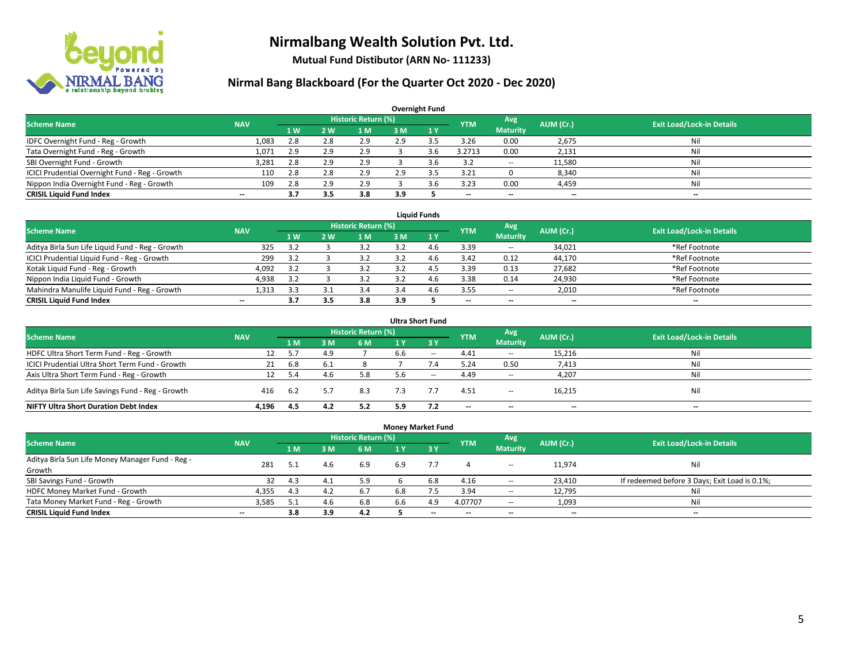

**Mutual Fund Distibutor (ARN No- 111233)**

| <b>Overnight Fund</b>                          |                          |     |     |                            |     |     |                          |                          |           |                                  |  |  |  |  |
|------------------------------------------------|--------------------------|-----|-----|----------------------------|-----|-----|--------------------------|--------------------------|-----------|----------------------------------|--|--|--|--|
| <b>Scheme Name</b>                             | <b>NAV</b>               |     |     | <b>Historic Return (%)</b> |     |     | <b>YTM</b>               | Avg                      | AUM (Cr.) | <b>Exit Load/Lock-in Details</b> |  |  |  |  |
|                                                |                          | 1 W | 2 W | l M                        | 3 M | 1Y  |                          | <b>Maturity</b>          |           |                                  |  |  |  |  |
| IDFC Overnight Fund - Reg - Growth             | 1,083                    | 2.8 | 2.8 | 2.9                        | 2.9 | ≺   | 3.26                     | 0.00                     | 2,675     | Nil                              |  |  |  |  |
| Tata Overnight Fund - Reg - Growth             | 1,071                    | 2.9 | 2.9 | 2.9                        |     | 3.6 | 3.2713                   | 0.00                     | 2,131     | Nil                              |  |  |  |  |
| SBI Overnight Fund - Growth                    | 3,281                    | 2.8 | 2.9 | 2.9                        |     | 3.6 | 3.2                      | $\overline{\phantom{a}}$ | 11,580    | Nil                              |  |  |  |  |
| ICICI Prudential Overnight Fund - Reg - Growth | 110                      | 2.8 | 2.8 | 2.9                        | 2.9 |     | 3.21                     |                          | 8,340     | Nil                              |  |  |  |  |
| Nippon India Overnight Fund - Reg - Growth     | 109                      | 2.8 | 2.9 | 2.9                        |     | 3.6 | 3.23                     | 0.00                     | 4,459     | Nil                              |  |  |  |  |
| <b>CRISIL Liquid Fund Index</b>                | $\overline{\phantom{a}}$ | 3.7 | 3.5 | 3.8                        | 3.9 |     | $\overline{\phantom{a}}$ | $\overline{\phantom{a}}$ | $- -$     | $-$                              |  |  |  |  |

| <b>Liquid Funds</b>                              |            |                |     |                     |     |   |                          |                 |           |                                  |  |  |  |
|--------------------------------------------------|------------|----------------|-----|---------------------|-----|---|--------------------------|-----------------|-----------|----------------------------------|--|--|--|
| <b>Scheme Name</b>                               | <b>NAV</b> |                |     | Historic Return (%) |     |   | <b>YTM</b>               | Avg             | AUM (Cr.) | <b>Exit Load/Lock-in Details</b> |  |  |  |
|                                                  |            | 1 <sub>W</sub> | 2 W | 1 M                 | з м |   |                          | <b>Maturity</b> |           |                                  |  |  |  |
| Aditya Birla Sun Life Liquid Fund - Reg - Growth | 325        | 3.2            |     | 3.2                 |     |   | 3.39                     | $\sim$          | 34,021    | *Ref Footnote                    |  |  |  |
| ICICI Prudential Liquid Fund - Reg - Growth      | 299        | 3.2            |     | 3.2                 |     |   | 3.42                     | 0.12            | 44,170    | *Ref Footnote                    |  |  |  |
| Kotak Liquid Fund - Reg - Growth                 | 4,092      | 3.2            |     | 3.2                 |     |   | 3.39                     | 0.13            | 27,682    | *Ref Footnote                    |  |  |  |
| Nippon India Liquid Fund - Growth                | 4,938      | 3.2            |     | 3.2                 |     | 4 | 3.38                     | 0.14            | 24,930    | *Ref Footnote                    |  |  |  |
| Mahindra Manulife Liquid Fund - Reg - Growth     | 1.313      | 3.3            |     | 3.4                 | 3.4 |   | 3.55                     | $\sim$          | 2,010     | *Ref Footnote                    |  |  |  |
| <b>CRISIL Liquid Fund Index</b>                  | $- -$      |                |     | 3.8                 | 3.9 |   | $\overline{\phantom{a}}$ | $- -$           | $- -$     | $-$                              |  |  |  |

| <b>Ultra Short Fund</b>                           |            |     |     |                            |     |                               |                          |                          |                          |                                  |  |  |  |
|---------------------------------------------------|------------|-----|-----|----------------------------|-----|-------------------------------|--------------------------|--------------------------|--------------------------|----------------------------------|--|--|--|
| <b>Scheme Name</b>                                | <b>NAV</b> |     |     | <b>Historic Return (%)</b> |     |                               | <b>YTM</b>               | Avg                      | AUM (Cr.)                | <b>Exit Load/Lock-in Details</b> |  |  |  |
|                                                   |            | 1 M | 3 M | 6 M                        | 1 Y | $\overline{3}$ $\overline{Y}$ |                          | <b>Maturity</b>          |                          |                                  |  |  |  |
| HDFC Ultra Short Term Fund - Reg - Growth         | 12         | 5.7 | 4.9 |                            | 6.6 | $-$                           | 4.41                     | $\sim$                   | 15,216                   | Nil                              |  |  |  |
| ICICI Prudential Ultra Short Term Fund - Growth   | 21         | 6.8 | 6.I |                            |     | 1.4                           | 5.24                     | 0.50                     | 7,413                    | Nil                              |  |  |  |
| Axis Ultra Short Term Fund - Reg - Growth         | 12         | 5.4 | 4.6 | 5.8                        | 5.h | $\sim$                        | 4.49                     | $\sim$                   | 4,207                    | Nil                              |  |  |  |
| Aditya Birla Sun Life Savings Fund - Reg - Growth | 416        | 6.2 |     | 8.3                        |     |                               | 4.51                     | $\overline{\phantom{a}}$ | 16,215                   | Nil                              |  |  |  |
| <b>NIFTY Ultra Short Duration Debt Index</b>      | 4.196      | 4.5 | 4.2 | 5.2                        | 5.9 |                               | $\overline{\phantom{a}}$ | $\overline{\phantom{a}}$ | $\overline{\phantom{a}}$ | $-$                              |  |  |  |

| <b>Money Market Fund</b>                         |                          |                |                |                            |     |         |            |                          |           |                                               |  |  |  |  |
|--------------------------------------------------|--------------------------|----------------|----------------|----------------------------|-----|---------|------------|--------------------------|-----------|-----------------------------------------------|--|--|--|--|
| <b>Scheme Name</b>                               | <b>NAV</b>               |                |                | <b>Historic Return (%)</b> |     |         | <b>YTM</b> | Avg                      | AUM (Cr.) | <b>Exit Load/Lock-in Details</b>              |  |  |  |  |
|                                                  |                          | 1 <sub>M</sub> | 3 <sub>M</sub> | 6 M                        | 1 Y | $Z_3$ Y |            | <b>Maturity</b>          |           |                                               |  |  |  |  |
| Aditya Birla Sun Life Money Manager Fund - Reg - | 281                      |                |                | 6.9                        | 6.9 |         |            |                          | 11.974    | Nil                                           |  |  |  |  |
| Growth                                           |                          | 5.1            | 4.6            |                            |     |         |            | $\overline{\phantom{a}}$ |           |                                               |  |  |  |  |
| SBI Savings Fund - Growth                        | 32                       | 4.3            | 4.1            | 5.9                        |     | 6.8     | 4.16       | $\overline{\phantom{m}}$ | 23,410    | If redeemed before 3 Days; Exit Load is 0.1%; |  |  |  |  |
| HDFC Money Market Fund - Growth                  | 4,355                    | 4.3            | 4.2            | 6.7                        |     |         | 3.94       | $\sim$                   | 12,795    | Nil                                           |  |  |  |  |
| Tata Money Market Fund - Reg - Growth            | 3,585                    | -5.1           | 4.6            | 6.8                        | 6.6 | 4.9     | 4.07707    | $\sim$                   | 1,093     | Nil                                           |  |  |  |  |
| <b>CRISIL Liquid Fund Index</b>                  | $\overline{\phantom{a}}$ | 3.8            | 3.9            | 4.2                        |     | $-$     | $- -$      | $- -$                    | $- -$     | --                                            |  |  |  |  |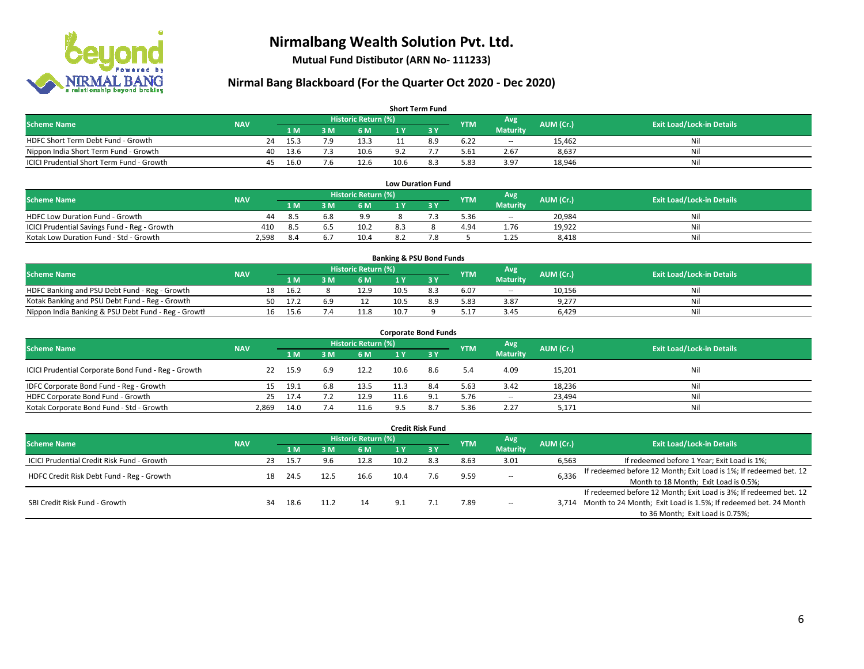

**Mutual Fund Distibutor (ARN No- 111233)**

| <b>Short Term Fund</b>                           |            |    |      |     |                     |      |     |            |                 |           |                                  |  |  |  |
|--------------------------------------------------|------------|----|------|-----|---------------------|------|-----|------------|-----------------|-----------|----------------------------------|--|--|--|
| <b>Scheme Name</b>                               | <b>NAV</b> |    |      |     | Historic Return (%) |      |     | <b>YTM</b> | Avg             | AUM (Cr.) | <b>Exit Load/Lock-in Details</b> |  |  |  |
|                                                  |            |    | 1 M  | 3 M | 6 M                 | 1 Y  |     |            | <b>Maturity</b> |           |                                  |  |  |  |
| HDFC Short Term Debt Fund - Growth               |            | 24 | 15.3 | 70  | 13.3                |      | 8.9 | 6.22       | $\sim$          | 15.462    | Nil                              |  |  |  |
| Nippon India Short Term Fund - Growth            |            | 40 | 13.6 |     | 10.6                | റാ   |     | 5.61       | 2.67            | 8,637     | Nil                              |  |  |  |
| <b>ICICI Prudential Short Term Fund - Growth</b> |            | 45 | 16.0 | 7.b | 12.6                | 10.6 | 8.3 | 5.83       | 3.97            | 18,946    | Nil                              |  |  |  |

| <b>Low Duration Fund</b>                     |            |     |     |                      |     |  |            |                          |           |                                  |  |  |  |
|----------------------------------------------|------------|-----|-----|----------------------|-----|--|------------|--------------------------|-----------|----------------------------------|--|--|--|
| <b>Scheme Name</b>                           | <b>NAV</b> |     |     | Historic Return (%)' |     |  | <b>YTM</b> | Avg                      | AUM (Cr.) | <b>Exit Load/Lock-in Details</b> |  |  |  |
|                                              |            | 1 M | ١M  | 6 M                  |     |  |            | <b>Maturity</b>          |           |                                  |  |  |  |
| <b>HDFC Low Duration Fund - Growth</b>       | 44         | 8.5 | 6.8 | 9.9                  |     |  | 5.36       | $\overline{\phantom{a}}$ | 20.984    | Nil                              |  |  |  |
| ICICI Prudential Savings Fund - Reg - Growth | 410        | 8.5 | .b. | 10.2                 | 8.3 |  | 4.94       | 1.76                     | 19,922    | Nil                              |  |  |  |
| Kotak Low Duration Fund - Std - Growth       | 2,598      | 8.4 |     | 10.4                 | Ωû  |  |            | 1.25                     | 8.418     | Nil                              |  |  |  |

| <b>Banking &amp; PSU Bond Funds</b>                 |            |    |      |     |                     |      |     |            |                          |           |                                  |  |  |
|-----------------------------------------------------|------------|----|------|-----|---------------------|------|-----|------------|--------------------------|-----------|----------------------------------|--|--|
| <b>Scheme Name</b>                                  | <b>NAV</b> |    |      |     | Historic Return (%) |      |     | <b>YTM</b> | Avg                      | AUM (Cr.) | <b>Exit Load/Lock-in Details</b> |  |  |
|                                                     |            |    | 1 M  |     | 6 M                 |      |     |            | <b>Maturity</b>          |           |                                  |  |  |
| HDFC Banking and PSU Debt Fund - Reg - Growth       |            | 18 | 16.2 |     | 12.9                | 10.5 |     | 6.07       | $\overline{\phantom{a}}$ | 10,156    | Nil                              |  |  |
| Kotak Banking and PSU Debt Fund - Reg - Growth      |            | 50 | 17.7 | 6.9 |                     | 10.5 | 8.9 | 5.83       | 3.87                     | 9,277     | Nil                              |  |  |
| Nippon India Banking & PSU Debt Fund - Reg - Growth |            | 16 | 15.6 |     | 11.8                | 10.7 |     | 5.17       | 3.45                     | 6,429     | Nil                              |  |  |

| <b>Corporate Bond Funds</b>                         |            |      |     |                            |      |        |            |                          |           |                                  |  |  |  |  |
|-----------------------------------------------------|------------|------|-----|----------------------------|------|--------|------------|--------------------------|-----------|----------------------------------|--|--|--|--|
| <b>Scheme Name</b>                                  | <b>NAV</b> |      |     | <b>Historic Return (%)</b> |      |        | <b>YTM</b> | Avg                      | AUM (Cr.) | <b>Exit Load/Lock-in Details</b> |  |  |  |  |
|                                                     |            | 1 M  | 3 M | 6 M                        | 1 Y  | $Z_3V$ |            | <b>Maturity</b>          |           |                                  |  |  |  |  |
| ICICI Prudential Corporate Bond Fund - Reg - Growth | 22         | 15.9 | 6.9 | 12.2                       | 10.6 | 8.6    | 5.4        | 4.09                     | 15,201    | Nil                              |  |  |  |  |
| IDFC Corporate Bond Fund - Reg - Growth             | 15.        | 19.1 | 6.8 | 13.5                       | 11.3 | 8.4    | 5.63       | 3.42                     | 18,236    | Nil                              |  |  |  |  |
| HDFC Corporate Bond Fund - Growth                   | 25         | 17.4 |     | 12.9                       | 11.6 |        | 5.76       | $\overline{\phantom{a}}$ | 23,494    | Nil                              |  |  |  |  |
| Kotak Corporate Bond Fund - Std - Growth            | 2,869      | 14.0 | 7.4 | 11.6                       |      |        | 5.36       | 2.27                     | 5,171     | Nil                              |  |  |  |  |

|                                                   |            |     |      |      |      |                            | <b>Credit Risk Fund</b> |            |                 |           |                                                                   |
|---------------------------------------------------|------------|-----|------|------|------|----------------------------|-------------------------|------------|-----------------|-----------|-------------------------------------------------------------------|
| <b>Scheme Name</b>                                | <b>NAV</b> |     |      |      |      | <b>Historic Return (%)</b> |                         |            | Avg             | AUM (Cr.) | <b>Exit Load/Lock-in Details</b>                                  |
|                                                   |            |     | 1 M  | 8 M  | 6 M  | 1 Y                        | 3Y                      | <b>YTM</b> | <b>Maturity</b> |           |                                                                   |
| <b>ICICI Prudential Credit Risk Fund - Growth</b> |            | 23. | 15.7 | 9.6  | 12.8 | 10.2                       | 8.3                     | 8.63       | 3.01            | 6,563     | If redeemed before 1 Year; Exit Load is 1%;                       |
| HDFC Credit Risk Debt Fund - Reg - Growth         |            | 18  | 24.5 | 12.5 | 16.6 | 10.4                       |                         | 9.59       | $\sim$          | 6,336     | If redeemed before 12 Month; Exit Load is 1%; If redeemed bet. 12 |
|                                                   |            |     |      |      |      |                            |                         |            |                 |           | Month to 18 Month; Exit Load is 0.5%;                             |
| SBI Credit Risk Fund - Growth                     |            |     |      |      |      |                            |                         |            |                 |           | If redeemed before 12 Month; Exit Load is 3%; If redeemed bet. 12 |
|                                                   |            | 34  | 18.6 | 11.2 | 14   | 9.1                        |                         | 7.89       | $\sim$          | 3.714     | Month to 24 Month; Exit Load is 1.5%; If redeemed bet. 24 Month   |
|                                                   |            |     |      |      |      |                            |                         |            |                 |           | to 36 Month; Exit Load is 0.75%;                                  |